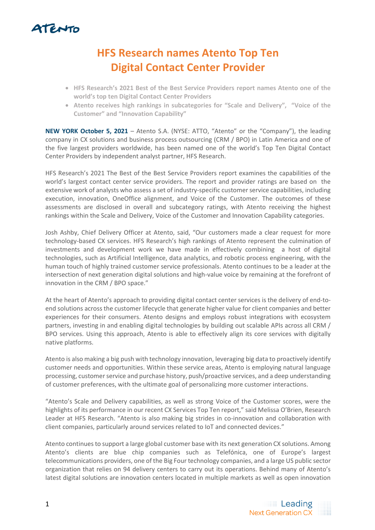

## **HFS Research names Atento Top Ten Digital Contact Center Provider**

- **HFS Research's 2021 Best of the Best Service Providers report names Atento one of the world's top ten Digital Contact Center Providers**
- **Atento receives high rankings in subcategories for "Scale and Delivery", "Voice of the Customer" and "Innovation Capability"**

**NEW YORK October 5, 2021** – Atento S.A. (NYSE: ATTO, "Atento" or the "Company"), the leading company in CX solutions and business process outsourcing (CRM / BPO) in Latin America and one of the five largest providers worldwide, has been named one of the world's Top Ten Digital Contact Center Providers by independent analyst partner, HFS Research.

HFS Research's 2021 The Best of the Best Service Providers report examines the capabilities of the world's largest contact center service providers. The report and provider ratings are based on the extensive work of analysts who assess a set of industry-specific customer service capabilities, including execution, innovation, OneOffice alignment, and Voice of the Customer. The outcomes of these assessments are disclosed in overall and subcategory ratings, with Atento receiving the highest rankings within the Scale and Delivery, Voice of the Customer and Innovation Capability categories.

Josh Ashby, Chief Delivery Officer at Atento, said, "Our customers made a clear request for more technology-based CX services. HFS Research's high rankings of Atento represent the culmination of investments and development work we have made in effectively combining a host of digital technologies, such as Artificial Intelligence, data analytics, and robotic process engineering, with the human touch of highly trained customer service professionals. Atento continues to be a leader at the intersection of next generation digital solutions and high-value voice by remaining at the forefront of innovation in the CRM / BPO space."

At the heart of Atento's approach to providing digital contact center services is the delivery of end-toend solutions across the customer lifecycle that generate higher value for client companies and better experiences for their consumers. Atento designs and employs robust integrations with ecosystem partners, investing in and enabling digital technologies by building out scalable APIs across all CRM / BPO services. Using this approach, Atento is able to effectively align its core services with digitally native platforms.

Atento is also making a big push with technology innovation, leveraging big data to proactively identify customer needs and opportunities. Within these service areas, Atento is employing natural language processing, customer service and purchase history, push/proactive services, and a deep understanding of customer preferences, with the ultimate goal of personalizing more customer interactions.

"Atento's Scale and Delivery capabilities, as well as strong Voice of the Customer scores, were the highlights of its performance in our recent CX Services Top Ten report," said Melissa O'Brien, Research Leader at HFS Research. "Atento is also making big strides in co-innovation and collaboration with client companies, particularly around services related to IoT and connected devices."

Atento continues to support a large global customer base with its next generation CX solutions. Among Atento's clients are blue chip companies such as Telefónica, one of Europe's largest telecommunications providers, one of the Big Four technology companies, and a large US public sector organization that relies on 94 delivery centers to carry out its operations. Behind many of Atento's latest digital solutions are innovation centers located in multiple markets as well as open innovation